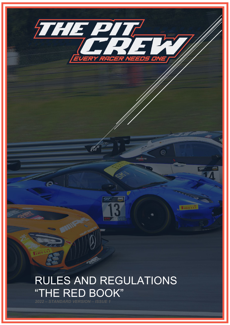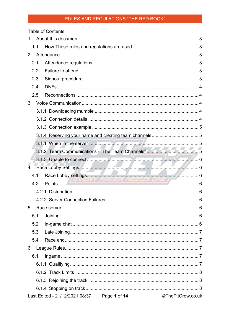|                | <b>Table of Contents</b>                    |                                                                                                                                                                                                                                |
|----------------|---------------------------------------------|--------------------------------------------------------------------------------------------------------------------------------------------------------------------------------------------------------------------------------|
|                |                                             |                                                                                                                                                                                                                                |
| 1.1            |                                             |                                                                                                                                                                                                                                |
| 2              |                                             |                                                                                                                                                                                                                                |
| 2.1            |                                             |                                                                                                                                                                                                                                |
| 2.2            |                                             |                                                                                                                                                                                                                                |
| 2.3            |                                             |                                                                                                                                                                                                                                |
| 2.4            |                                             |                                                                                                                                                                                                                                |
| 2.5            |                                             |                                                                                                                                                                                                                                |
| 3              |                                             |                                                                                                                                                                                                                                |
|                |                                             |                                                                                                                                                                                                                                |
|                |                                             |                                                                                                                                                                                                                                |
|                |                                             |                                                                                                                                                                                                                                |
|                |                                             |                                                                                                                                                                                                                                |
|                |                                             |                                                                                                                                                                                                                                |
|                |                                             | 3.1.2 Team Communications - "The Team Channels"                                                                                                                                                                                |
|                |                                             | 3.1.3 Unable to connect 6 6 and 10 million 1 million 6 6 and 10 million 6 6 million 6 6 and 10 million 6 6 and 10 million 6 6 and 10 million 6 and 10 million 6 and 10 million 6 and 10 million 6 and 10 million 6 and 10 mill |
| $\overline{4}$ |                                             |                                                                                                                                                                                                                                |
| 4.1            |                                             | Race Lobby Settings<br>1 Race Lobby settings<br>6                                                                                                                                                                              |
| 4.2            |                                             |                                                                                                                                                                                                                                |
|                |                                             |                                                                                                                                                                                                                                |
|                |                                             |                                                                                                                                                                                                                                |
| 5              |                                             |                                                                                                                                                                                                                                |
| 5.1            |                                             |                                                                                                                                                                                                                                |
| 5.2            |                                             |                                                                                                                                                                                                                                |
| 5.3            |                                             |                                                                                                                                                                                                                                |
| 5.4            |                                             |                                                                                                                                                                                                                                |
| 6              |                                             |                                                                                                                                                                                                                                |
| 6.1            |                                             |                                                                                                                                                                                                                                |
|                |                                             |                                                                                                                                                                                                                                |
|                |                                             |                                                                                                                                                                                                                                |
|                |                                             |                                                                                                                                                                                                                                |
|                |                                             |                                                                                                                                                                                                                                |
|                | Last Edited - 21/12/2021 08:37 Page 1 of 14 | ©ThePitCrew.co.uk                                                                                                                                                                                                              |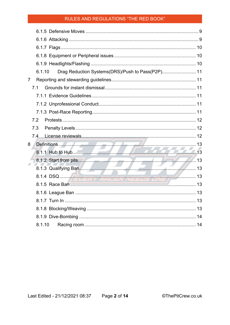| Drag Reduction Systems(DRS)/Push to Pass(P2P) 11<br>6.1.10 |  |
|------------------------------------------------------------|--|
| $\overline{7}$                                             |  |
| 7.1                                                        |  |
|                                                            |  |
|                                                            |  |
|                                                            |  |
| 7.2                                                        |  |
| 7.3                                                        |  |
| 7.4                                                        |  |
| 8                                                          |  |
|                                                            |  |
|                                                            |  |
|                                                            |  |
|                                                            |  |
|                                                            |  |
|                                                            |  |
|                                                            |  |
|                                                            |  |
|                                                            |  |
|                                                            |  |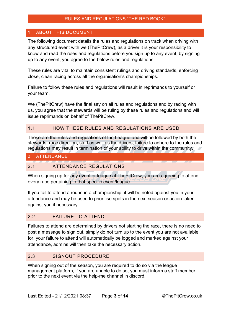# <span id="page-3-0"></span>**ABOUT THIS DOCUMENT**

The following document details the rules and regulations on track when driving with any structured event with we (ThePitCrew), as a driver it is your responsibility to know and read the rules and regulations before you sign up to any event, by signing up to any event, you agree to the below rules and regulations.

These rules are vital to maintain consistent rulings and driving standards, enforcing close, clean racing across all the organisation's championships.

Failure to follow these rules and regulations will result in reprimands to yourself or your team.

We (ThePitCrew) have the final say on all rules and regulations and by racing with us, you agree that the stewards will be ruling by these rules and regulations and will issue reprimands on behalf of ThePitCrew.

#### <span id="page-3-1"></span>1.1 HOW THESE RULES AND REGULATIONS ARE USED

These are the rules and regulations of the League and will be followed by both the stewards, race direction, staff as well as the drivers, failure to adhere to the rules and regulations may result in termination of your ability to drive within the community.

## <span id="page-3-2"></span>2 ATTENDANCE

#### <span id="page-3-3"></span>2.1 ATTENDANCE REGULATIONS

When signing up for any event or league at ThePitCrew, you are agreeing to attend every race pertaining to that specific event/league.

If you fail to attend a round in a championship, it will be noted against you in your attendance and may be used to prioritise spots in the next season or action taken against you if necessary.

#### <span id="page-3-4"></span>2.2 FAILURE TO ATTEND

Failures to attend are determined by drivers not starting the race, there is no need to post a message to sign out, simply do not turn up to the event you are not available for, your failure to attend will automatically be logged and marked against your attendance, admins will then take the necessary action.

# <span id="page-3-5"></span>2.3 SIGNOUT PROCEDURE

When signing out of the season, you are required to do so via the league management platform, if you are unable to do so, you must inform a staff member prior to the next event via the help-me channel in discord.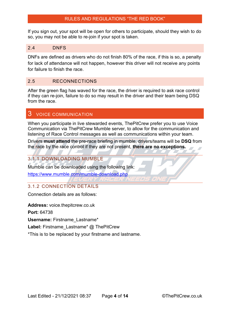If you sign out, your spot will be open for others to participate, should they wish to do so, you may not be able to re-join if your spot is taken.

# <span id="page-4-0"></span>2.4 DNFS

DNFs are defined as drivers who do not finish 80% of the race, if this is so, a penalty for lack of attendance will not happen, however this driver will not receive any points for failure to finish the race.

# <span id="page-4-1"></span>2.5 RECONNECTIONS

After the green flag has waved for the race, the driver is required to ask race control if they can re-join, failure to do so may result in the driver and their team being DSQ from the race

# <span id="page-4-2"></span>3 VOICE COMMUNICATION

When you participate in live stewarded events, ThePitCrew prefer you to use Voice Communication via ThePitCrew Mumble server, to allow for the communication and listening of Race Control messages as well as communications within your team.

Drivers **must attend** the pre-race briefing in mumble, drivers/teams will be **DSQ** from the race by the race control if they are not present, **there are no exceptions.**

# <span id="page-4-3"></span>3.1.1 DOWNLOADING MUMBLE

Mumble can be downloaded using the following link:

<span id="page-4-4"></span><https://www.mumble.com/mumble-download.php>

# 3.1.2 CONNECTION DETAILS

Connection details are as follows:

**Address:** voice.thepitcrew.co.uk

**Port:** 64738

**Username: Firstname Lastname\*** 

Label: Firstname Lastname<sup>\*</sup> @ ThePitCrew

\*This is to be replaced by your firstname and lastname.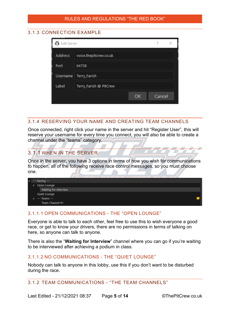# <span id="page-5-0"></span>3.1.3 CONNECTION EXAMPLE

| <b>Edit Server</b> |                        |    |        |  |
|--------------------|------------------------|----|--------|--|
| <b>Address</b>     | voice.thepitcrew.co.uk |    |        |  |
| Port               | 64738                  |    |        |  |
| <b>Username</b>    | Terry_Farish           |    |        |  |
| Label              | Terry_Farish @ PitCrew |    |        |  |
|                    |                        | OK | Cancel |  |
|                    |                        |    |        |  |

# <span id="page-5-1"></span>3.1.4 RESERVING YOUR NAME AND CREATING TEAM CHANNELS

Once connected, right click your name in the server and hit "Register User", this will reserve your username for every time you connect, you will also be able to create a channel under the "teams" category.

# <span id="page-5-2"></span>3.1.1 WHEN IN THE SERVER

Once in the server, you have 3 options in terms of how you wish for communications to happen, all of the following receive race control messages, so you must choose one.

| $\overline{A}$ | --- Racing ---        |  |
|----------------|-----------------------|--|
|                | Open Lounge           |  |
|                | Waiting for interview |  |
|                | Quiet Lounge          |  |
|                | --- Teams ---         |  |
|                | Team Channel #1       |  |

# 3.1.1.1 OPEN COMMUNICATIONS - THE "OPEN LOUNGE"

Everyone is able to talk to each other, feel free to use this to wish everyone a good race, or get to know your drivers, there are no permissions in terms of talking on here, so anyone can talk to anyone.

There is also the "**Waiting for Interview**" channel where you can go if you're waiting to be interviewed after achieving a podium in class.

#### 3.1.1.2 NO COMMUNICATIONS - THE "QUIET LOUNGE"

Nobody can talk to anyone in this lobby, use this if you don't want to be disturbed during the race.

# <span id="page-5-3"></span>3.1.2 TEAM COMMUNICATIONS - "THE TEAM CHANNELS"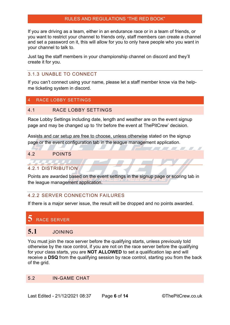If you are driving as a team, either in an endurance race or in a team of friends, or you want to restrict your channel to friends only, staff members can create a channel and set a password on it, this will allow for you to only have people who you want in your channel to talk to.

Just tag the staff members in your championship channel on discord and they'll create it for you.

## <span id="page-6-0"></span>3.1.3 UNABLE TO CONNECT

If you can't connect using your name, please let a staff member know via the helpme ticketing system in discord.

# <span id="page-6-1"></span>4 RACE LOBBY SETTINGS

#### <span id="page-6-2"></span>4.1 RACE LOBBY SETTINGS

Race Lobby Settings including date, length and weather are on the event signup page and may be changed up to 1hr before the event at ThePitCrew' decision.

Assists and car setup are free to choose, unless otherwise stated on the signup page or the event configuration tab in the league management application.

#### <span id="page-6-3"></span>4.2 POINTS

# <span id="page-6-4"></span>4.2.1 DISTRIBUTION

Points are awarded based on the event settings in the signup page or scoring tab in the league management application.

# <span id="page-6-5"></span>4.2.2 SERVER CONNECTION FAILURES

If there is a major server issue, the result will be dropped and no points awarded.

# <span id="page-6-6"></span>**5** RACE SERVER

# <span id="page-6-7"></span>**5.1** JOINING

You must join the race server before the qualifying starts, unless previously told otherwise by the race control, if you are not on the race server before the qualifying for your class starts, you are **NOT ALLOWED** to set a qualification lap and will receive a **DSQ** from the qualifying session by race control, starting you from the back of the grid.

# <span id="page-6-8"></span>5.2 IN-GAME CHAT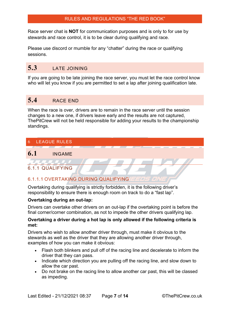Race server chat is **NOT** for communication purposes and is only to for use by stewards and race control, it is to be clear during qualifying and race.

Please use discord or mumble for any "chatter" during the race or qualifying sessions.

# <span id="page-7-0"></span>**5.3** LATE JOINING

If you are going to be late joining the race server, you must let the race control know who will let you know if you are permitted to set a lap after joining qualification late.

# <span id="page-7-1"></span>**5.4** RACE END

When the race is over, drivers are to remain in the race server until the session changes to a new one, if drivers leave early and the results are not captured, ThePitCrew will not be held responsible for adding your results to the championship standings.

# <span id="page-7-2"></span>6 LEAGUE RULES

# <span id="page-7-3"></span>**6.1** INGAME

<span id="page-7-4"></span>6.1.1 QUALIFYING

# 6.1.1.1 OVERTAKING DURING QUALIFYING

Overtaking during qualifying is strictly forbidden, it is the following driver's responsibility to ensure there is enough room on track to do a "fast lap".

# **Overtaking during an out-lap:**

Drivers can overtake other drivers on an out-lap if the overtaking point is before the final corner/corner combination, as not to impede the other drivers qualifying lap.

#### **Overtaking a driver during a hot lap is only allowed if the following criteria is met:**

Drivers who wish to allow another driver through, must make it obvious to the stewards as well as the driver that they are allowing another driver through, examples of how you can make it obvious:

- Flash both blinkers and pull off of the racing line and decelerate to inform the driver that they can pass.
- Indicate which direction you are pulling off the racing line, and slow down to allow the car past.
- Do not brake on the racing line to allow another car past, this will be classed as impeding.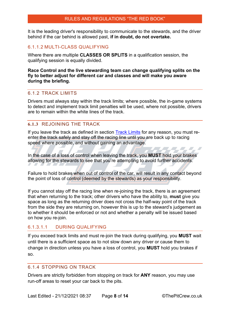It is the leading driver's responsibility to communicate to the stewards, and the driver behind if the car behind is allowed past, **if in doubt, do not overtake.**

#### 6.1.1.2 MULTI-CLASS QUALIFYING

Where there are multiple **CLASSES OR SPLITS** in a qualification session, the qualifying session is equally divided.

#### **Race Control and the live stewarding team can change qualifying splits on the fly to better adjust for different car and classes and will make you aware during the briefing.**

#### <span id="page-8-0"></span>6.1.2 TRACK LIMITS

Drivers must always stay within the track limits; where possible, the in-game systems to detect and implement track limit penalties will be used, where not possible, drivers are to remain within the white lines of the track.

#### <span id="page-8-1"></span>**6.1.3** REJOINING THE TRACK

If you leave the track as defined in section [Track Limits](#page-8-0) for any reason, you must reenter the track safely and stay off the racing line until you are back up to racing speed where possible, and without gaining an advantage.

In the case of a loss of control when leaving the track, you **MUST** hold your brakes allowing for the stewards to see that you're attempting to avoid further accidents.

Failure to hold brakes when out of control of the car, will result in any contact beyond the point of loss of control (deemed by the stewards) as your responsibility.

If you cannot stay off the racing line when re-joining the track, there is an agreement that when returning to the track; other drivers who have the ability to, **must** give you space as long as the returning driver does not cross the half-way point of the track from the side they are returning on, however this is up to the steward's judgement as to whether it should be enforced or not and whether a penalty will be issued based on how you re-join.

## 6.1.3.1.1 DURING QUALIFYING

If you exceed track limits and must re-join the track during qualifying, you **MUST** wait until there is a sufficient space as to not slow down any driver or cause them to change in direction unless you have a loss of control, you **MUST** hold you brakes if so.

#### <span id="page-8-2"></span>6.1.4 STOPPING ON TRACK

Drivers are strictly forbidden from stopping on track for **ANY** reason, you may use run-off areas to reset your car back to the pits.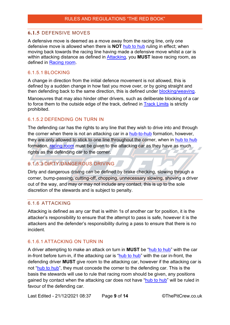# <span id="page-9-0"></span>**6.1.5** DEFENSIVE MOVES

A defensive move is deemed as a move away from the racing line, only one defensive move is allowed when there is **NOT** [hub to hub](#page-13-1) ruling in effect; when moving back towards the racing line having made a defensive move whilst a car is within attacking distance as defined in [Attacking,](#page-9-1) you **MUST** leave racing room, as defined in [Racing room.](#page-14-1)

# 6.1.5.1 BLOCKING

A change in direction from the initial defence movement is not allowed, this is defined by a sudden change in how fast you move over, or by going straight and then defending back to the same direction, this is defined under [blocking/weaving.](#page-13-8)

Manoeuvres that may also hinder other drivers, such as deliberate blocking of a car to force them to the outside edge of the track, defined in [Track Limits](#page-8-0) is strictly prohibited.

# 6.1.5.2 DEFENDING ON TURN IN

The defending car has the rights to any line that they wish to drive into and through the corner when there is not an attacking car in a [hub-to-hub](#page-13-1) formation, however, they are only allowed to stick to one line throughout the corner, when in [hub to hub](#page-13-1) formation, [racing room](#page-14-1) must be given to the attacking car as they have as much rights as the defending car to the corner.

# 6.1.5.3 DIRTY/DANGEROUS DRIVING

Dirty and dangerous driving can be defined by brake checking, slowing through a corner, bump-passing, cutting-off, chopping, unnecessary slowing, shoving a driver out of the way, and may or may not include any contact, this is up to the sole discretion of the stewards and is subject to penalty.

# <span id="page-9-1"></span>6.1.6 ATTACKING

Attacking is defined as any car that is within 1s of another car for position, it is the attacker's responsibility to ensure that the attempt to pass is safe, however it is the attackers and the defender's responsibility during a pass to ensure that there is no incident.

# 6.1.6.1 ATTACKING ON TURN IN

A driver attempting to make an attack on turn in **MUST** be ["hub to hub"](#page-13-1) with the car in-front before turn-in, if the attacking car is ["hub to hub"](#page-13-1) with the car in-front, the defending driver **MUST** give room to the attacking car, however if the attacking car is not ["hub to hub"](#page-13-1), they must concede the corner to the defending car. This is the basis the stewards will use to rule that racing room should be given, any positions gained by contact when the attacking car does not have ["hub to hub"](#page-13-1) will be ruled in favour of the defending car.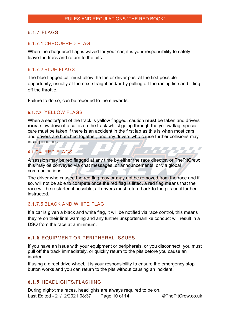# <span id="page-10-0"></span>6.1.7 FLAGS

# 6.1.7.1 CHEQUERED FLAG

When the chequered flag is waved for your car, it is your responsibility to safely leave the track and return to the pits.

## 6.1.7.2 BLUE FLAGS

The blue flagged car must allow the faster driver past at the first possible opportunity, usually at the next straight and/or by pulling off the racing line and lifting off the throttle.

Failure to do so, can be reported to the stewards.

# **6.1.7.3** YELLOW FLAGS

When a sector/part of the track is yellow flagged, caution **must** be taken and drivers **must** slow down if a car is on the track whilst going through the yellow flag, special care must be taken if there is an accident in the first lap as this is when most cars and drivers are bunched together, and any drivers who cause further collisions may incur penalties.

# **6.1.7.4** RED FLAGS

A session may be red flagged at any time by either the race director, or ThePitCrew; this may be conveyed via chat messages, or announcements, or via global communications.

The driver who caused the red flag may or may not be removed from the race and if so, will not be able to compete once the red flag is lifted, a red flag means that the race will be restarted if possible, all drivers must return back to the pits until further instructed.

#### 6.1.7.5 BLACK AND WHITE FLAG

If a car is given a black and white flag, it will be notified via race control, this means they're on their final warning and any further unsportsmanlike conduct will result in a DSQ from the race at a minimum.

## <span id="page-10-1"></span>**6.1.8** EQUIPMENT OR PERIPHERAL ISSUES

If you have an issue with your equipment or peripherals, or you disconnect, you must pull off the track immediately, or quickly return to the pits before you cause an incident.

If using a direct drive wheel, it is your responsibility to ensure the emergency stop button works and you can return to the pits without causing an incident.

#### <span id="page-10-2"></span>**6.1.9** HEADLIGHTS/FLASHING

Last Edited - 21/12/2021 08:37 Page **10** of **14** ©ThePitCrew.co.uk During night-time races, headlights are always required to be on.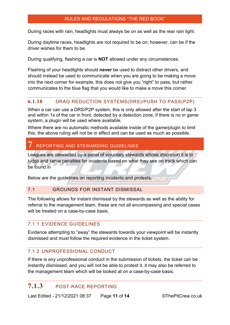During races with rain, headlights must always be on as well as the rear rain light.

During daytime races, headlights are not required to be on; however, can be if the driver wishes for them to be.

During qualifying, flashing a car is **NOT** allowed under any circumstances.

Flashing of your headlights should **never** be used to distract other drivers, and should instead be used to communicate when you are going to be making a move into the next corner for example, this does not give you "right" to pass, but rather communicates to the blue flag that you would like to make a move this corner.

# <span id="page-11-0"></span>**6.1.10** DRAG REDUCTION SYSTEMS(DRS)/PUSH TO PASS(P2P)

When a car can use a DRS/P2P system, this is only allowed after the start of lap 3 and within 1s of the car in front, detected by a detection zone, if there is no in game system, a plugin will be used where available.

Where there are no automatic methods available inside of the game/plugin to limit this, the above ruling will not be in effect and can be used as much as possible.

# <span id="page-11-1"></span>**7** REPORTING AND STEWARDING GUIDELINES

Leagues are stewarded by a panel of voluntary stewards whose discretion it is to judge and serve penalties for incidents based on what they see on track which can be found in

Below are the guidelines on reporting incidents and protests.

#### <span id="page-11-2"></span>7.1 GROUNDS FOR INSTANT DISMISSAL

The following allows for instant dismissal by the stewards as well as the ability for referral to the management team, these are not all encompassing and special cases will be treated on a case-by-case basis.

#### <span id="page-11-3"></span>7.1.1 EVIDENCE GUIDELINES

Evidence attempting to "sway" the stewards towards your viewpoint will be instantly dismissed and must follow the required evidence in the ticket system.

# <span id="page-11-4"></span>7.1.2 UNPROFESSIONAL CONDUCT

If there is any unprofessional conduct in the submission of tickets, the ticket can be instantly dismissed, and you will not be able to protest it, it may also be referred to the management team which will be looked at on a case-by-case basis.

# <span id="page-11-5"></span>**7.1.3** POST-RACE REPORTING

Last Edited - 21/12/2021 08:37 Page **11** of **14** ©ThePitCrew.co.uk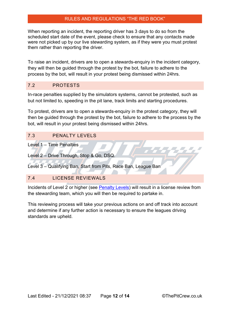When reporting an incident, the reporting driver has 3 days to do so from the scheduled start date of the event, please check to ensure that any contacts made were not picked up by our live stewarding system, as if they were you must protest them rather than reporting the driver.

To raise an incident, drivers are to open a stewards-enquiry in the incident category, they will then be guided through the protest by the bot, failure to adhere to the process by the bot, will result in your protest being dismissed within 24hrs.

#### <span id="page-12-0"></span>7.2 PROTESTS

In-race penalties supplied by the simulators systems, cannot be protested, such as but not limited to, speeding in the pit lane, track limits and starting procedures.

To protest, drivers are to open a stewards-enquiry in the protest category, they will then be guided through the protest by the bot, failure to adhere to the process by the bot, will result in your protest being dismissed within 24hrs.

#### <span id="page-12-1"></span>7.3 PENALTY LEVELS

Level 1 – Time Penalties

Level 2 – Drive Through, Stop & Go, DSQ.

Level 3 – Qualifying Ban, Start from Pits, Race Ban, League Ban

# <span id="page-12-2"></span>7.4 LICENSE REVIEWALS

Incidents of Level 2 or higher (see [Penalty Levels\)](#page-12-1) will result in a license review from the stewarding team, which you will then be required to partake in.

This reviewing process will take your previous actions on and off track into account and determine if any further action is necessary to ensure the leagues driving standards are upheld.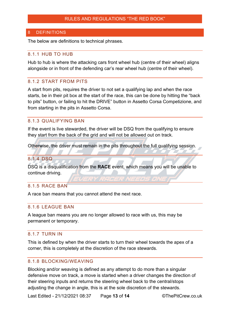#### <span id="page-13-0"></span>**DEFINITIONS**

The below are definitions to technical phrases.

#### <span id="page-13-1"></span>8.1.1 HUB TO HUB

Hub to hub is where the attacking cars front wheel hub (centre of their wheel) aligns alongside or in front of the defending car's rear wheel hub (centre of their wheel).

## <span id="page-13-2"></span>8.1.2 START FROM PITS

A start from pits, requires the driver to not set a qualifying lap and when the race starts, be in their pit box at the start of the race, this can be done by hitting the "back to pits" button, or failing to hit the DRIVE" button in Assetto Corsa Competizione, and from starting in the pits in Assetto Corsa.

#### <span id="page-13-3"></span>8.1.3 QUALIFYING BAN

If the event is live stewarded, the driver will be DSQ from the qualifying to ensure they start from the back of the grid and will not be allowed out on track.

Otherwise, the driver must remain in the pits throughout the full qualifying session.

# <span id="page-13-4"></span>8.1.4 DSQ

DSQ is a disqualification from the **RACE** event, which means you will be unable to continue driving.

#### <span id="page-13-5"></span>8.1.5 RACE BAN

A race ban means that you cannot attend the next race.

#### <span id="page-13-6"></span>8.1.6 LEAGUE BAN

A league ban means you are no longer allowed to race with us, this may be permanent or temporary.

#### <span id="page-13-7"></span>8.1.7 TURN IN

This is defined by when the driver starts to turn their wheel towards the apex of a corner, this is completely at the discretion of the race stewards.

#### <span id="page-13-8"></span>8.1.8 BLOCKING/WEAVING

Blocking and/or weaving is defined as any attempt to do more than a singular defensive move on track, a move is started when a driver changes the direction of their steering inputs and returns the steering wheel back to the central/stops adjusting the change in angle, this is at the sole discretion of the stewards.

Last Edited - 21/12/2021 08:37 Page **13** of **14** ©ThePitCrew.co.uk